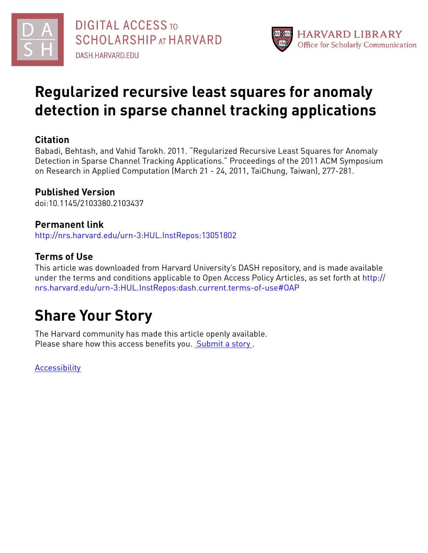



# **Regularized recursive least squares for anomaly detection in sparse channel tracking applications**

# **Citation**

Babadi, Behtash, and Vahid Tarokh. 2011. "Regularized Recursive Least Squares for Anomaly Detection in Sparse Channel Tracking Applications." Proceedings of the 2011 ACM Symposium on Research in Applied Computation (March 21 - 24, 2011, TaiChung, Taiwan), 277-281.

# **Published Version**

doi:10.1145/2103380.2103437

# **Permanent link**

<http://nrs.harvard.edu/urn-3:HUL.InstRepos:13051802>

# **Terms of Use**

This article was downloaded from Harvard University's DASH repository, and is made available under the terms and conditions applicable to Open Access Policy Articles, as set forth at [http://](http://nrs.harvard.edu/urn-3:HUL.InstRepos:dash.current.terms-of-use#OAP) [nrs.harvard.edu/urn-3:HUL.InstRepos:dash.current.terms-of-use#OAP](http://nrs.harvard.edu/urn-3:HUL.InstRepos:dash.current.terms-of-use#OAP)

# **Share Your Story**

The Harvard community has made this article openly available. Please share how this access benefits you. [Submit](http://osc.hul.harvard.edu/dash/open-access-feedback?handle=&title=Regularized%20recursive%20least%20squares%20for%20anomaly%20detection%20in%20sparse%20channel%20tracking%20applications&community=1/1&collection=1/2&owningCollection1/2&harvardAuthors=fe0b7724afa66418bba98a87939f1365&departmentEngineering%20and%20Applied%20Sciences) a story .

**[Accessibility](https://dash.harvard.edu/pages/accessibility)**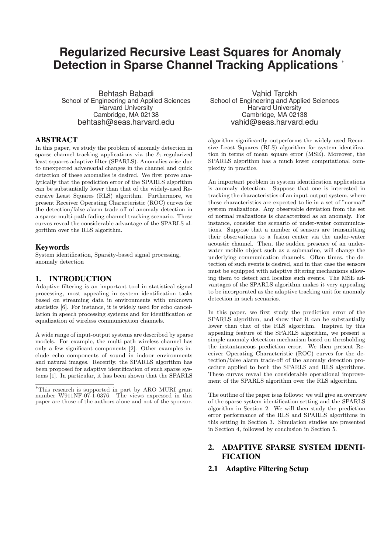# **Regularized Recursive Least Squares for Anomaly Detection in Sparse Channel Tracking Applications** <sup>∗</sup>

Behtash Babadi School of Engineering and Applied Sciences Harvard University Cambridge, MA 02138 behtash@seas.harvard.edu

## ABSTRACT

In this paper, we study the problem of anomaly detection in sparse channel tracking applications via the  $\ell_1$ -regularized least squares adaptive filter (SPARLS). Anomalies arise due to unexpected adversarial changes in the channel and quick detection of these anomalies is desired. We first prove analytically that the prediction error of the SPARLS algorithm can be substantially lower than that of the widely-used Recursive Least Squares (RLS) algorithm. Furthermore, we present Receiver Operating Characteristic (ROC) curves for the detection/false alarm trade-off of anomaly detection in a sparse multi-path fading channel tracking scenario. These curves reveal the considerable advantage of the SPARLS algorithm over the RLS algorithm.

## Keywords

System identification, Sparsity-based signal processing, anomaly detection

## 1. INTRODUCTION

Adaptive filtering is an important tool in statistical signal processing, most appealing in system identification tasks based on streaming data in environments with unknown statistics [6]. For instance, it is widely used for echo cancellation in speech processing systems and for identification or equalization of wireless communication channels.

A wide range of input-output systems are described by sparse models. For example, the multi-path wireless channel has only a few significant components [2]. Other examples include echo components of sound in indoor environments and natural images. Recently, the SPARLS algorithm has been proposed for adaptive identification of such sparse systems [1]. In particular, it has been shown that the SPARLS

Vahid Tarokh School of Engineering and Applied Sciences Harvard University Cambridge, MA 02138 vahid@seas.harvard.edu

algorithm significantly outperforms the widely used Recursive Least Squares (RLS) algorithm for system identification in terms of mean square error (MSE). Moreover, the SPARLS algorithm has a much lower computational complexity in practice.

An important problem in system identification applications is anomaly detection. Suppose that one is interested in tracking the characteristics of an input-output system, where these characteristics are expected to lie in a set of "normal" system realizations. Any observable deviation from the set of normal realizations is characterized as an anomaly. For instance, consider the scenario of under-water communications. Suppose that a number of sensors are transmitting their observations to a fusion center via the under-water acoustic channel. Then, the sudden presence of an underwater mobile object such as a submarine, will change the underlying communication channels. Often times, the detection of such events is desired, and in that case the sensors must be equipped with adaptive filtering mechanisms allowing them to detect and localize such events. The MSE advantages of the SPARLS algorithm makes it very appealing to be incorporated as the adaptive tracking unit for anomaly detection in such scenarios.

In this paper, we first study the prediction error of the SPARLS algorithm, and show that it can be substantially lower than that of the RLS algorithm. Inspired by this appealing feature of the SPARLS algorithm, we present a simple anomaly detection mechanism based on thresholding the instantaneous prediction error. We then present Receiver Operating Characteristic (ROC) curves for the detection/false alarm trade-off of the anomaly detection procedure applied to both the SPARLS and RLS algorithms. These curves reveal the considerable operational improvement of the SPARLS algorithm over the RLS algorithm.

The outline of the paper is as follows: we will give an overview of the sparse system identification setting and the SPARLS algorithm in Section 2. We will then study the prediction error performance of the RLS and SPARLS algorithms in this setting in Section 3. Simulation studies are presented in Section 4, followed by conclusion in Section 5.

## 2. ADAPTIVE SPARSE SYSTEM IDENTI-**FICATION**

## 2.1 Adaptive Filtering Setup

<sup>∗</sup>This research is supported in part by ARO MURI grant number W911NF-07-1-0376. The views expressed in this paper are those of the authors alone and not of the sponsor.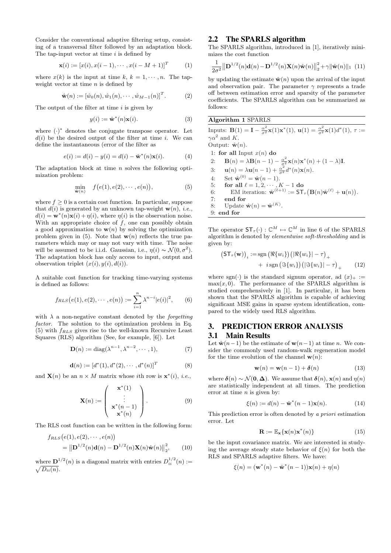Consider the conventional adaptive filtering setup, consisting of a transversal filter followed by an adaptation block. The tap-input vector at time  $i$  is defined by

$$
\mathbf{x}(i) := [x(i), x(i-1), \cdots, x(i-M+1)]^T
$$
 (1)

where  $x(k)$  is the input at time k,  $k = 1, \dots, n$ . The tapweight vector at time  $n$  is defined by

$$
\hat{\mathbf{w}}(n) := [\hat{w}_0(n), \hat{w}_1(n), \cdots, \hat{w}_{M-1}(n)]^T.
$$
 (2)

The output of the filter at time  $i$  is given by

$$
y(i) := \hat{\mathbf{w}}^*(n)\mathbf{x}(i). \tag{3}
$$

where  $(\cdot)^*$  denotes the conjugate transpose operator. Let  $d(i)$  be the desired output of the filter at time i. We can define the instantaneous (error of the filter as

$$
e(i) := d(i) - y(i) = d(i) - \hat{\mathbf{w}}^*(n)\mathbf{x}(i).
$$
 (4)

The adaptation block at time  $n$  solves the following optimization problem:

$$
\min_{\hat{\mathbf{w}}(n)} \quad f(e(1), e(2), \cdots, e(n)), \tag{5}
$$

where  $f \geq 0$  is a certain cost function. In particular, suppose that  $d(i)$  is generated by an unknown tap-weight  $\mathbf{w}(n)$ , *i.e.*,  $d(i) = \mathbf{w}^*(n)\mathbf{x}(i) + \eta(i)$ , where  $\eta(i)$  is the observation noise. With an appropriate choice of  $f$ , one can possibly obtain a good approximation to  $\mathbf{w}(n)$  by solving the optimization problem given in (5). Note that  $w(n)$  reflects the true parameters which may or may not vary with time. The noise will be assumed to be i.i.d. Gaussian, i.e.,  $\eta(i) \sim \mathcal{N}(0, \sigma^2)$ . The adaptation block has only access to input, output and observation triplet  $(x(i), y(i), d(i))$ .

A suitable cost function for tracking time-varying systems is defined as follows:

$$
f_{RLS}(e(1), e(2), \cdots, e(n)) := \sum_{i=1}^{n} \lambda^{n-i} |e(i)|^2, \qquad (6)
$$

with  $\lambda$  a non-negative constant denoted by the *forgetting* factor. The solution to the optimization problem in Eq. (5) with  $f_{RLS}$  gives rise to the well-known Recursive Least Squares (RLS) algorithm (See, for example, [6]). Let

$$
\mathbf{D}(n) := \mathrm{diag}(\lambda^{n-1}, \lambda^{n-2}, \cdots, 1),\tag{7}
$$

$$
\mathbf{d}(n) := [d^*(1), d^*(2), \cdots, d^*(n)]^T
$$
 (8)

and  $\mathbf{X}(n)$  be an  $n \times M$  matrix whose *i*th row is  $\mathbf{x}^*(i)$ , *i.e.*,

$$
\mathbf{X}(n) := \begin{pmatrix} \mathbf{x}^*(1) \\ \vdots \\ \mathbf{x}^*(n-1) \\ \mathbf{x}^*(n) \end{pmatrix} .
$$
 (9)

The RLS cost function can be written in the following form:

$$
f_{RLS}(e(1), e(2), \cdots, e(n))
$$
  
=  $\|\mathbf{D}^{1/2}(n)\mathbf{d}(n) - \mathbf{D}^{1/2}(n)\mathbf{X}(n)\hat{\mathbf{w}}(n)\|_2^2,$  (10)

where  $\mathbf{D}^{1/2}(n)$  is a diagonal matrix with entries  $D_{ii}^{1/2}(n) :=$  $\sqrt{D_{ii}(n)}$ .

#### 2.2 The SPARLS algorithm

The SPARLS algorithm, introduced in [1], iteratively minimizes the cost function

$$
\frac{1}{2\sigma^2} \left\| \mathbf{D}^{1/2}(n)\mathbf{d}(n) - \mathbf{D}^{1/2}(n)\mathbf{X}(n)\hat{\mathbf{w}}(n) \right\|_2^2 + \gamma \|\hat{\mathbf{w}}(n)\|_1 \tag{11}
$$

by updating the estimate  $\hat{\mathbf{w}}(n)$  upon the arrival of the input and observation pair. The parameter  $\gamma$  represents a trade off between estimation error and sparsity of the parameter coefficients. The SPARLS algorithm can be summarized as follows:

Algorithm 1 SPARLS

Inputs:  $\mathbf{B}(1) = \mathbf{I} - \frac{\alpha^2}{\sigma^2} \mathbf{x}(1) \mathbf{x}^*(1), \mathbf{u}(1) = \frac{\alpha^2}{\sigma^2} \mathbf{x}(1) d^*(1), \tau :=$  $\gamma \alpha^2$  and K. Output:  $\hat{\mathbf{w}}(n)$ . 1: for all Input  $x(n)$  do 2:  $\mathbf{B}(n) = \lambda \mathbf{B}(n-1) - \frac{\alpha^2}{\sigma^2} \mathbf{x}(n) \mathbf{x}^*(n) + (1 - \lambda)\mathbf{I}.$ 3:  $\mathbf{u}(n) = \lambda \mathbf{u}(n-1) + \frac{\alpha^2}{\sigma^2} d^*(n) \mathbf{x}(n)$ . 4: Set  $\hat{\mathbf{w}}^{(0)} = \hat{\mathbf{w}}(n-1)$ . 5: for all  $\ell = 1, 2, \cdots, K - 1$  do 5: for all  $\ell = 1, 2, \dots, K - 1$  do<br>6: EM iteration:  $\mathbf{\hat{w}}^{(\ell+1)} := \mathsf{ST}_{\tau}(\mathbf{B}(n)\mathbf{\hat{w}}^{(\ell)} + \mathbf{u}(n)).$ 7: end for 8: Update  $\hat{\mathbf{w}}(n) = \hat{\mathbf{w}}^{(K)}$ . 9: end for

The operator  $ST_{\tau}(\cdot) : \mathbb{C}^{M} \mapsto \mathbb{C}^{M}$  in line 6 of the SPARLS algorithm is denoted by elementwise soft-thresholding and is given by:

$$
(\mathsf{ST}_{\tau}(\mathbf{w}))_i := \operatorname{sgn} (\Re\{w_i\}) (\Re\{w_i\}) - \tau)_+ + i \operatorname{sgn} (\Im\{w_i\}) (\Im\{w_i\}) - \tau)_+ \qquad (12)
$$

where sgn( $\cdot$ ) is the standard signum operator, ad  $(x)_+ :=$  $max(x, 0)$ . The performance of the SPARLS algorithm is studied comprehensively in [1]. In particular, it has been shown that the SPARLS algorithm is capable of achieving significant MSE gains in sparse system identification, compared to the widely used RLS algorithm.

## 3. PREDICTION ERROR ANALYSIS 3.1 Main Results

Let  $\hat{\mathbf{w}}(n-1)$  be the estimate of  $\mathbf{w}(n-1)$  at time n. We consider the commonly used random-walk regeneration model for the time evolution of the channel  $\mathbf{w}(n)$ :

$$
\mathbf{w}(n) = \mathbf{w}(n-1) + \boldsymbol{\delta}(n) \tag{13}
$$

where  $\delta(n) \sim \mathcal{N}(0, \Delta)$ . We assume that  $\delta(n)$ ,  $\mathbf{x}(n)$  and  $\eta(n)$ are statistically independent at all times. The prediction error at time  $n$  is given by:

$$
\xi(n) := d(n) - \hat{\mathbf{w}}^*(n-1)\mathbf{x}(n). \tag{14}
$$

This prediction error is often denoted by a priori estimation error. Let

$$
\mathbf{R} := \mathbb{E}_{\mathbf{x}} \{ \mathbf{x}(n) \mathbf{x}^*(n) \}
$$
 (15)

be the input covariance matrix. We are interested in studying the average steady state behavior of  $\xi(n)$  for both the RLS and SPARLS adaptive filters. We have:

$$
\xi(n) = (\mathbf{w}^*(n) - \hat{\mathbf{w}}^*(n-1))\mathbf{x}(n) + \eta(n)
$$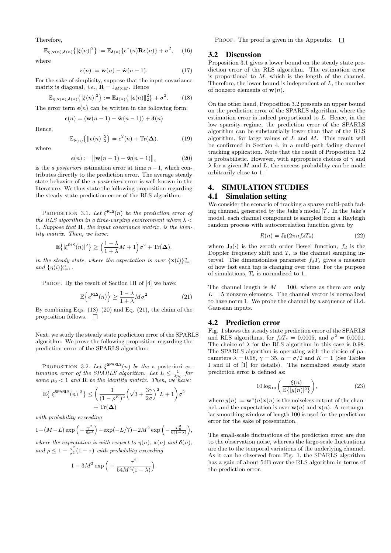Therefore,

$$
\mathbb{E}_{\eta,\mathbf{x}(n),\boldsymbol{\delta}(n)}\{|\xi(n)|^2\} := \mathbb{E}_{\boldsymbol{\delta}(n)}\{\boldsymbol{\epsilon}^*(n)\mathbf{R}\boldsymbol{\epsilon}(n)\} + \sigma^2, \quad (16)
$$

where

$$
\epsilon(n) := \mathbf{w}(n) - \hat{\mathbf{w}}(n-1). \tag{17}
$$

For the sake of simplicity, suppose that the input covariance matrix is diagonal, *i.e.*,  $\mathbf{R} = \mathbb{I}_{M \times M}$ . Hence

$$
\mathbb{E}_{\eta,\mathbf{x}(n),\boldsymbol{\delta}(n)}\left\{ \left|\xi(n)\right|^2 \right\} := \mathbb{E}_{\boldsymbol{\delta}(n)}\left\{ \left\|\boldsymbol{\epsilon}(n)\right\|_2^2 \right\} + \sigma^2. \tag{18}
$$

The error term  $\epsilon(n)$  can be written in the following form:

$$
\boldsymbol{\epsilon}(n) = (\mathbf{w}(n-1) - \hat{\mathbf{w}}(n-1)) + \boldsymbol{\delta}(n)
$$

Hence,

$$
\mathbb{E}_{\delta(n)}\left\{\|\boldsymbol{\epsilon}(n)\|_{2}^{2}\right\} = e^{2}(n) + \text{Tr}(\boldsymbol{\Delta}).\tag{19}
$$

where

$$
e(n) := ||\mathbf{w}(n-1) - \hat{\mathbf{w}}(n-1)||_2
$$
 (20)

is the *a posteriori* estimation error at time  $n-1$ , which contributes directly to the prediction error. The average steady state behavior of the a posteriori error is well-known in the literature. We thus state the following proposition regarding the steady state prediction error of the RLS algorithm:

PROPOSITION 3.1. Let  $\xi^{RLS}(n)$  be the prediction error of the RLS algorithm in a time-varying environment where  $\lambda$  < 1. Suppose that  $\bf{R}$ , the input covariance matrix, is the identity matrix. Then, we have:

$$
\mathbb{E}\left\{|\xi^{\rm RLS}(n)|^2\right\} \ge \left(\frac{1-\lambda}{1+\lambda}M+1\right)\sigma^2 + \text{Tr}(\Delta).
$$

in the steady state, where the expectation is over  $\{x(i)\}_{i=1}^n$ and  $\{\eta(i)\}_{i=1}^n$ .

PROOF. By the result of Section III of [4] we have:

$$
\mathbb{E}\left\{e^{\text{RLS}}(n)\right\} \ge \frac{1-\lambda}{1+\lambda}M\sigma^2\tag{21}
$$

By combining Eqs.  $(18)$ – $(20)$  and Eq.  $(21)$ , the claim of the proposition follows.  $\Box$ 

Next, we study the steady state prediction error of the SPARLS algorithm. We prove the following proposition regarding the prediction error of the SPARLS algorithm:

PROPOSITION 3.2. Let  $\xi^{\text{SPARLS}}(n)$  be the a posteriori estimation error of the SPARLS algorithm. Let  $L \leq \frac{1}{3\mu_0}$  for some  $\mu_0 < 1$  and **R** be the identity matrix. Then, we have:

$$
\mathbb{E}\left\{|\xi^{\text{SPARLS}}(n)|^2\right\} \le \left(\frac{1}{(1-\rho^K)^2} \left(\sqrt{3} + \frac{3\gamma}{2\sigma}\right)^2 L + 1\right) \sigma^2 + \text{Tr}(\Delta)
$$

with probability exceeding

$$
1-(M-L)\exp\left(-\frac{\gamma^2}{8\sigma^2}\right)-\exp(-L/7)-2M^2\exp\left(-\frac{\mu_0^2}{6(1-\lambda)}\right),
$$

where the expectation is with respect to  $\eta(n)$ ,  $\mathbf{x}(n)$  and  $\boldsymbol{\delta}(n)$ , and  $\rho \leq 1 - \frac{\alpha^2}{\sigma^2}(1-\tau)$  with probability exceeding

$$
1-3M^2\exp\Big(-\frac{\tau^2}{54M^2(1-\lambda)}\Big).
$$

PROOF. The proof is given in the Appendix.  $\square$ 

#### 3.2 Discussion

Proposition 3.1 gives a lower bound on the steady state prediction error of the RLS algorithm. The estimation error is proportional to  $M$ , which is the length of the channel. Therefore, the lower bound is independent of  $L$ , the number of nonzero elements of  $w(n)$ .

On the other hand, Proposition 3.2 presents an upper bound on the prediction error of the SPARLS algorithm, where the estimation error is indeed proportional to  $L$ . Hence, in the low sparsity regime, the prediction error of the SPARLS algorithm can be substantially lower than that of the RLS algorithm, for large values of  $L$  and  $M$ . This result will be confirmed in Section 4, in a multi-path fading channel tracking application. Note that the result of Proposition 3.2 is probabilistic. However, with appropriate choices of  $\gamma$  and  $\lambda$  for a given M and L, the success probability can be made arbitrarily close to 1.

#### 4. SIMULATION STUDIES

#### 4.1 Simulation setting

We consider the scenario of tracking a sparse multi-path fading channel, generated by the Jake's model [7]. In the Jake's model, each channel component is sampled from a Rayleigh random process with autocorrelation function given by

$$
R(n) = J_0(2\pi n f_d T_s) \tag{22}
$$

where  $J_0(\cdot)$  is the zeroth order Bessel function,  $f_d$  is the Doppler frequency shift and  $T_s$  is the channel sampling interval. The dimensionless parameter  $f_dT_s$  gives a measure of how fast each tap is changing over time. For the purpose of simulations,  $T_s$  is normalized to 1.

The channel length is  $M = 100$ , where as there are only  $L = 5$  nonzero elements. The channel vector is normalized to have norm 1. We probe the channel by a sequence of i.i.d. Gaussian inputs.

#### 4.2 Prediction error

Fig. 1 shows the steady state prediction error of the SPARLS and RLS algorithms, for  $f_dT_s = 0.0005$ , and  $\sigma^2 = 0.0001$ . The choice of  $\lambda$  for the RLS algorithm in this case is 0.98. The SPARLS algorithm is operating with the choice of parameters  $\lambda = 0.98$ ,  $\gamma = 35$ ,  $\alpha = \sigma/2$  and  $K = 1$  (See Tables I and II of [1] for details). The normalized steady state prediction error is defined as:

$$
10\log_{10}\left(\frac{\xi(n)}{\mathbb{E}\{|y(n)|^2\}}\right),\tag{23}
$$

where  $y(n) := \mathbf{w}^*(n)\mathbf{x}(n)$  is the noiseless output of the channel, and the expectation is over  $w(n)$  and  $x(n)$ . A rectangular smoothing window of length 100 is used for the prediction error for the sake of presentation.

The small-scale fluctuations of the prediction error are due to the observation noise, whereas the large-scale fluctuations are due to the temporal variations of the underlying channel. As it can be observed from Fig. 1, the SPARLS algorithm has a gain of about 5dB over the RLS algorithm in terms of the prediction error.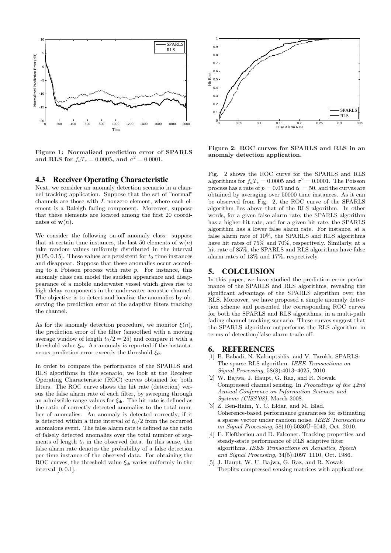

Figure 1: Normalized prediction error of SPARLS and RLS for  $f_dT_s = 0.0005$ , and  $\sigma^2 = 0.0001$ .

#### 4.3 Receiver Operating Characteristic

Next, we consider an anomaly detection scenario in a channel tracking application. Suppose that the set of "normal" channels are those with L nonzero element, where each element is a Raleigh fading component. Moreover, suppose that these elements are located among the first 20 coordinates of  $w(n)$ .

We consider the following on-off anomaly class: suppose that at certain time instances, the last 50 elements of  $w(n)$ take random values uniformly distributed in the interval [0.05, 0.15]. These values are persistent for  $t_0$  time instances and disappear. Suppose that these anomalies occur according to a Poisson process with rate  $p$ . For instance, this anomaly class can model the sudden appearance and disappearance of a mobile underwater vessel which gives rise to high delay components in the underwater acoustic channel. The objective is to detect and localize the anomalies by observing the prediction error of the adaptive filters tracking the channel.

As for the anomaly detection procedure, we monitor  $\xi(n)$ , the prediction error of the filter (smoothed with a moving average window of length  $t_0/2 = 25$ ) and compare it with a threshold value  $\xi_{\text{th}}$ . An anomaly is reported if the instantaneous prediction error exceeds the threshold  $\xi$ <sup>th</sup>.

In order to compare the performance of the SPARLS and RLS algorithms in this scenario, we look at the Receiver Operating Characteristic (ROC) curves obtained for both filters. The ROC curve shows the hit rate (detection) versus the false alarm rate of each filter, by sweeping through an admissible range values for  $\xi_{\rm th}$ . The hit rate is defined as the ratio of correctly detected anomalies to the total number of anomalies. An anomaly is detected correctly, if it is detected within a time interval of  $t_0/2$  from the occurred anomalous event. The false alarm rate is defined as the ratio of falsely detected anomalies over the total number of segments of length  $t_0$  in the observed data. In this sense, the false alarm rate denotes the probability of a false detection per time instance of the observed data. For obtaining the ROC curves, the threshold value  $\xi_{\text{th}}$  varies uniformly in the interval [0, 0.1].



Figure 2: ROC curves for SPARLS and RLS in an anomaly detection application.

Fig. 2 shows the ROC curve for the SPARLS and RLS algorithms for  $f_dT_s = 0.0005$  and  $\sigma^2 = 0.0001$ . The Poisson process has a rate of  $p = 0.05$  and  $t_0 = 50$ , and the curves are obtained by averaging over 50000 time instances. As it can be observed from Fig. 2, the ROC curve of the SPARLS algorithm lies above that of the RLS algorithm. In other words, for a given false alarm rate, the SPARLS algorithm has a higher hit rate, and for a given hit rate, the SPARLS algorithm has a lower false alarm rate. For instance, at a false alarm rate of 10%, the SPARLS and RLS algorithms have hit rates of 75% and 70%, respectively. Similarly, at a hit rate of 85%, the SPARLS and RLS algorithms have false alarm rates of 13% and 17%, respectively.

### 5. COLCLUSION

In this paper, we have studied the prediction error performance of the SPARLS and RLS algorithms, revealing the significant advantage of the SPARLS algorithm over the RLS. Moreover, we have proposed a simple anomaly detection scheme and presented the corresponding ROC curves for both the SPARLS and RLS algorithms, in a multi-path fading channel tracking scenario. These curves suggest that the SPARLS algorithm outperforms the RLS algorithm in terms of detection/false alarm trade-off.

#### 6. REFERENCES

- [1] B. Babadi, N. Kalouptsidis, and V. Tarokh. SPARLS: The sparse RLS algorithm. IEEE Transactions on Signal Processing, 58(8):4013–4025, 2010.
- [2] W. Bajwa, J. Haupt, G. Raz, and R. Nowak. Compressed channel sensing. In Proceedings of the 42nd Annual Conference on Information Sciences and Systems (CISS'08), March 2008.
- [3] Z. Ben-Haim, Y. C. Eldar, and M. Elad. Coherence-based performance guarantees for estimating a sparse vector under random noise. IEEE Transactions on Signal Processing,  $58(10):5030\overline{0}$ -5043, Oct. 2010.
- [4] E. Eleftheriou and D. Falconer. Tracking properties and steady-state performance of RLS adaptive filter algorithms. IEEE Transactions on Acoustics, Speech and Signal Processing, 34(5):1097–1110, Oct. 1986.
- [5] J. Haupt, W. U. Bajwa, G. Raz, and R. Nowak. Toeplitz compressed sensing matrices with applications